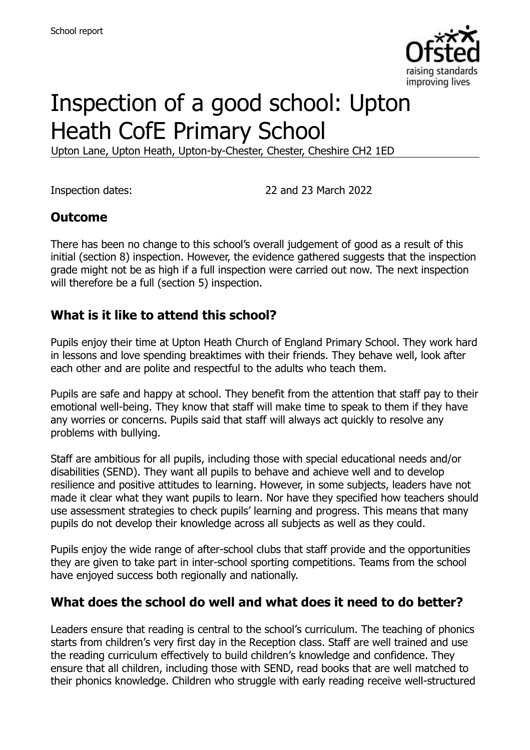

# Inspection of a good school: Upton Heath CofE Primary School

Upton Lane, Upton Heath, Upton-by-Chester, Chester, Cheshire CH2 1ED

Inspection dates: 22 and 23 March 2022

## **Outcome**

There has been no change to this school's overall judgement of good as a result of this initial (section 8) inspection. However, the evidence gathered suggests that the inspection grade might not be as high if a full inspection were carried out now. The next inspection will therefore be a full (section 5) inspection.

## **What is it like to attend this school?**

Pupils enjoy their time at Upton Heath Church of England Primary School. They work hard in lessons and love spending breaktimes with their friends. They behave well, look after each other and are polite and respectful to the adults who teach them.

Pupils are safe and happy at school. They benefit from the attention that staff pay to their emotional well-being. They know that staff will make time to speak to them if they have any worries or concerns. Pupils said that staff will always act quickly to resolve any problems with bullying.

Staff are ambitious for all pupils, including those with special educational needs and/or disabilities (SEND). They want all pupils to behave and achieve well and to develop resilience and positive attitudes to learning. However, in some subjects, leaders have not made it clear what they want pupils to learn. Nor have they specified how teachers should use assessment strategies to check pupils' learning and progress. This means that many pupils do not develop their knowledge across all subjects as well as they could.

Pupils enjoy the wide range of after-school clubs that staff provide and the opportunities they are given to take part in inter-school sporting competitions. Teams from the school have enjoyed success both regionally and nationally.

#### **What does the school do well and what does it need to do better?**

Leaders ensure that reading is central to the school's curriculum. The teaching of phonics starts from children's very first day in the Reception class. Staff are well trained and use the reading curriculum effectively to build children's knowledge and confidence. They ensure that all children, including those with SEND, read books that are well matched to their phonics knowledge. Children who struggle with early reading receive well-structured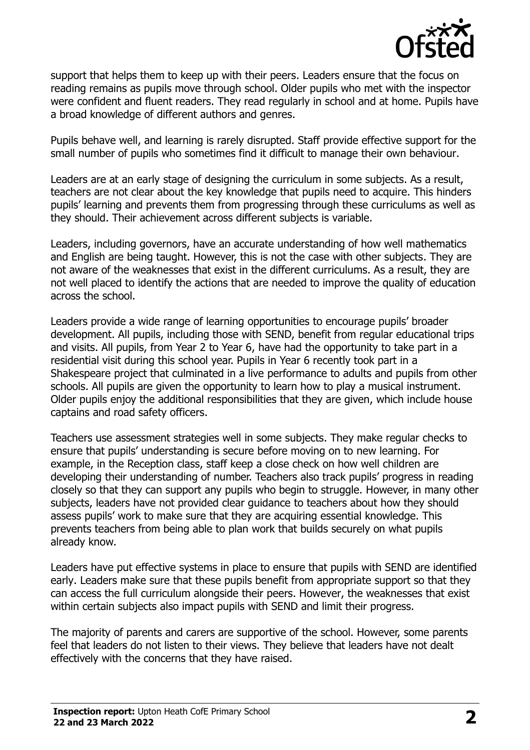

support that helps them to keep up with their peers. Leaders ensure that the focus on reading remains as pupils move through school. Older pupils who met with the inspector were confident and fluent readers. They read regularly in school and at home. Pupils have a broad knowledge of different authors and genres.

Pupils behave well, and learning is rarely disrupted. Staff provide effective support for the small number of pupils who sometimes find it difficult to manage their own behaviour.

Leaders are at an early stage of designing the curriculum in some subjects. As a result, teachers are not clear about the key knowledge that pupils need to acquire. This hinders pupils' learning and prevents them from progressing through these curriculums as well as they should. Their achievement across different subjects is variable.

Leaders, including governors, have an accurate understanding of how well mathematics and English are being taught. However, this is not the case with other subjects. They are not aware of the weaknesses that exist in the different curriculums. As a result, they are not well placed to identify the actions that are needed to improve the quality of education across the school.

Leaders provide a wide range of learning opportunities to encourage pupils' broader development. All pupils, including those with SEND, benefit from regular educational trips and visits. All pupils, from Year 2 to Year 6, have had the opportunity to take part in a residential visit during this school year. Pupils in Year 6 recently took part in a Shakespeare project that culminated in a live performance to adults and pupils from other schools. All pupils are given the opportunity to learn how to play a musical instrument. Older pupils enjoy the additional responsibilities that they are given, which include house captains and road safety officers.

Teachers use assessment strategies well in some subjects. They make regular checks to ensure that pupils' understanding is secure before moving on to new learning. For example, in the Reception class, staff keep a close check on how well children are developing their understanding of number. Teachers also track pupils' progress in reading closely so that they can support any pupils who begin to struggle. However, in many other subjects, leaders have not provided clear guidance to teachers about how they should assess pupils' work to make sure that they are acquiring essential knowledge. This prevents teachers from being able to plan work that builds securely on what pupils already know.

Leaders have put effective systems in place to ensure that pupils with SEND are identified early. Leaders make sure that these pupils benefit from appropriate support so that they can access the full curriculum alongside their peers. However, the weaknesses that exist within certain subjects also impact pupils with SEND and limit their progress.

The majority of parents and carers are supportive of the school. However, some parents feel that leaders do not listen to their views. They believe that leaders have not dealt effectively with the concerns that they have raised.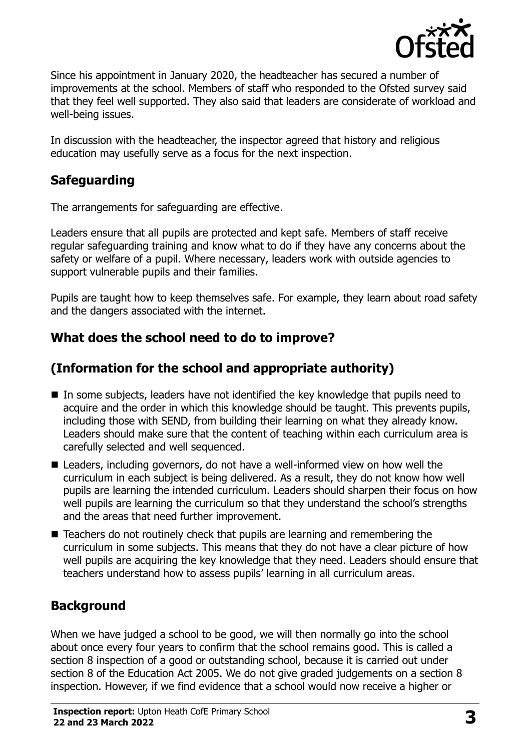

Since his appointment in January 2020, the headteacher has secured a number of improvements at the school. Members of staff who responded to the Ofsted survey said that they feel well supported. They also said that leaders are considerate of workload and well-being issues.

In discussion with the headteacher, the inspector agreed that history and religious education may usefully serve as a focus for the next inspection.

# **Safeguarding**

The arrangements for safeguarding are effective.

Leaders ensure that all pupils are protected and kept safe. Members of staff receive regular safeguarding training and know what to do if they have any concerns about the safety or welfare of a pupil. Where necessary, leaders work with outside agencies to support vulnerable pupils and their families.

Pupils are taught how to keep themselves safe. For example, they learn about road safety and the dangers associated with the internet.

# **What does the school need to do to improve?**

# **(Information for the school and appropriate authority)**

- In some subjects, leaders have not identified the key knowledge that pupils need to acquire and the order in which this knowledge should be taught. This prevents pupils, including those with SEND, from building their learning on what they already know. Leaders should make sure that the content of teaching within each curriculum area is carefully selected and well sequenced.
- Leaders, including governors, do not have a well-informed view on how well the curriculum in each subject is being delivered. As a result, they do not know how well pupils are learning the intended curriculum. Leaders should sharpen their focus on how well pupils are learning the curriculum so that they understand the school's strengths and the areas that need further improvement.
- Teachers do not routinely check that pupils are learning and remembering the curriculum in some subjects. This means that they do not have a clear picture of how well pupils are acquiring the key knowledge that they need. Leaders should ensure that teachers understand how to assess pupils' learning in all curriculum areas.

# **Background**

When we have judged a school to be good, we will then normally go into the school about once every four years to confirm that the school remains good. This is called a section 8 inspection of a good or outstanding school, because it is carried out under section 8 of the Education Act 2005. We do not give graded judgements on a section 8 inspection. However, if we find evidence that a school would now receive a higher or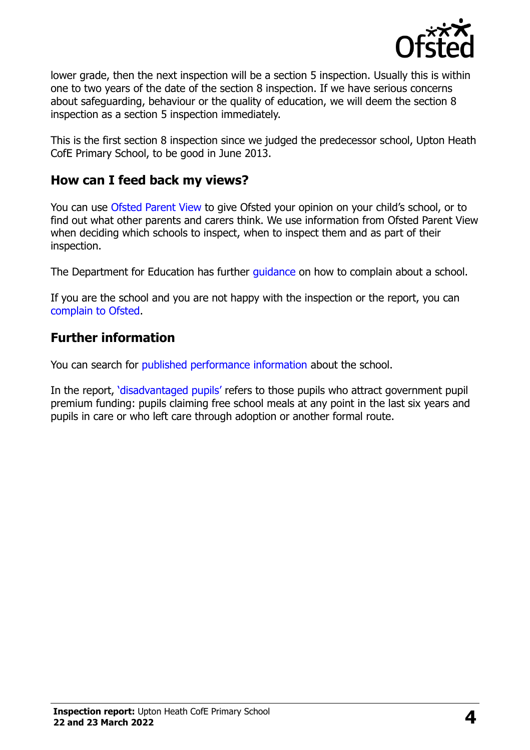

lower grade, then the next inspection will be a section 5 inspection. Usually this is within one to two years of the date of the section 8 inspection. If we have serious concerns about safeguarding, behaviour or the quality of education, we will deem the section 8 inspection as a section 5 inspection immediately.

This is the first section 8 inspection since we judged the predecessor school, Upton Heath CofE Primary School, to be good in June 2013.

## **How can I feed back my views?**

You can use [Ofsted Parent View](https://parentview.ofsted.gov.uk/) to give Ofsted your opinion on your child's school, or to find out what other parents and carers think. We use information from Ofsted Parent View when deciding which schools to inspect, when to inspect them and as part of their inspection.

The Department for Education has further [guidance](http://www.gov.uk/complain-about-school) on how to complain about a school.

If you are the school and you are not happy with the inspection or the report, you can [complain to Ofsted.](https://www.gov.uk/complain-ofsted-report)

## **Further information**

You can search for [published performance information](http://www.compare-school-performance.service.gov.uk/) about the school.

In the report, '[disadvantaged pupils](http://www.gov.uk/guidance/pupil-premium-information-for-schools-and-alternative-provision-settings)' refers to those pupils who attract government pupil premium funding: pupils claiming free school meals at any point in the last six years and pupils in care or who left care through adoption or another formal route.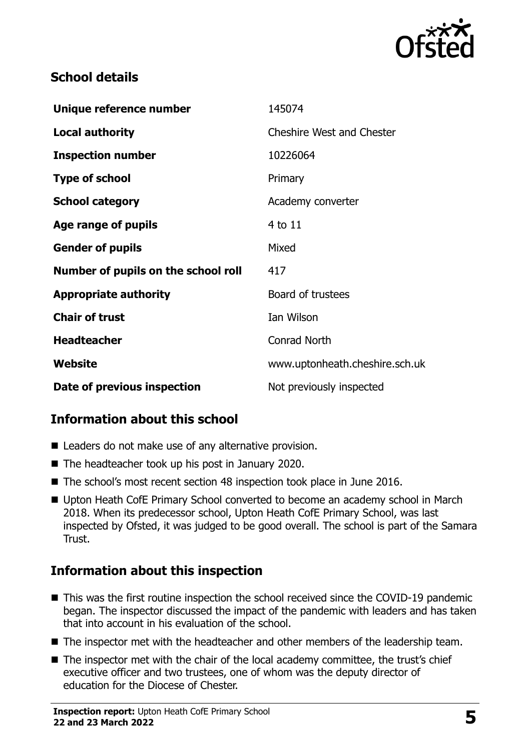

# **School details**

| Unique reference number             | 145074                           |
|-------------------------------------|----------------------------------|
| Local authority                     | <b>Cheshire West and Chester</b> |
| <b>Inspection number</b>            | 10226064                         |
| <b>Type of school</b>               | Primary                          |
| <b>School category</b>              | Academy converter                |
| Age range of pupils                 | 4 to 11                          |
| <b>Gender of pupils</b>             | Mixed                            |
| Number of pupils on the school roll | 417                              |
| <b>Appropriate authority</b>        | Board of trustees                |
| <b>Chair of trust</b>               | Ian Wilson                       |
| <b>Headteacher</b>                  | <b>Conrad North</b>              |
| Website                             | www.uptonheath.cheshire.sch.uk   |
| Date of previous inspection         | Not previously inspected         |

# **Information about this school**

- Leaders do not make use of any alternative provision.
- The headteacher took up his post in January 2020.
- The school's most recent section 48 inspection took place in June 2016.
- Upton Heath CofE Primary School converted to become an academy school in March 2018. When its predecessor school, Upton Heath CofE Primary School, was last inspected by Ofsted, it was judged to be good overall. The school is part of the Samara Trust.

# **Information about this inspection**

- This was the first routine inspection the school received since the COVID-19 pandemic began. The inspector discussed the impact of the pandemic with leaders and has taken that into account in his evaluation of the school.
- The inspector met with the headteacher and other members of the leadership team.
- The inspector met with the chair of the local academy committee, the trust's chief executive officer and two trustees, one of whom was the deputy director of education for the Diocese of Chester.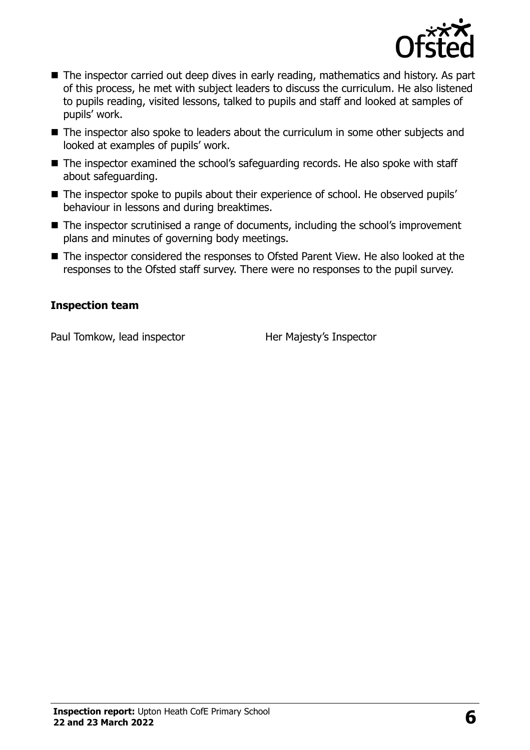

- The inspector carried out deep dives in early reading, mathematics and history. As part of this process, he met with subject leaders to discuss the curriculum. He also listened to pupils reading, visited lessons, talked to pupils and staff and looked at samples of pupils' work.
- The inspector also spoke to leaders about the curriculum in some other subjects and looked at examples of pupils' work.
- The inspector examined the school's safeguarding records. He also spoke with staff about safeguarding.
- The inspector spoke to pupils about their experience of school. He observed pupils' behaviour in lessons and during breaktimes.
- The inspector scrutinised a range of documents, including the school's improvement plans and minutes of governing body meetings.
- The inspector considered the responses to Ofsted Parent View. He also looked at the responses to the Ofsted staff survey. There were no responses to the pupil survey.

#### **Inspection team**

Paul Tomkow, lead inspector **Her Majesty's Inspector**